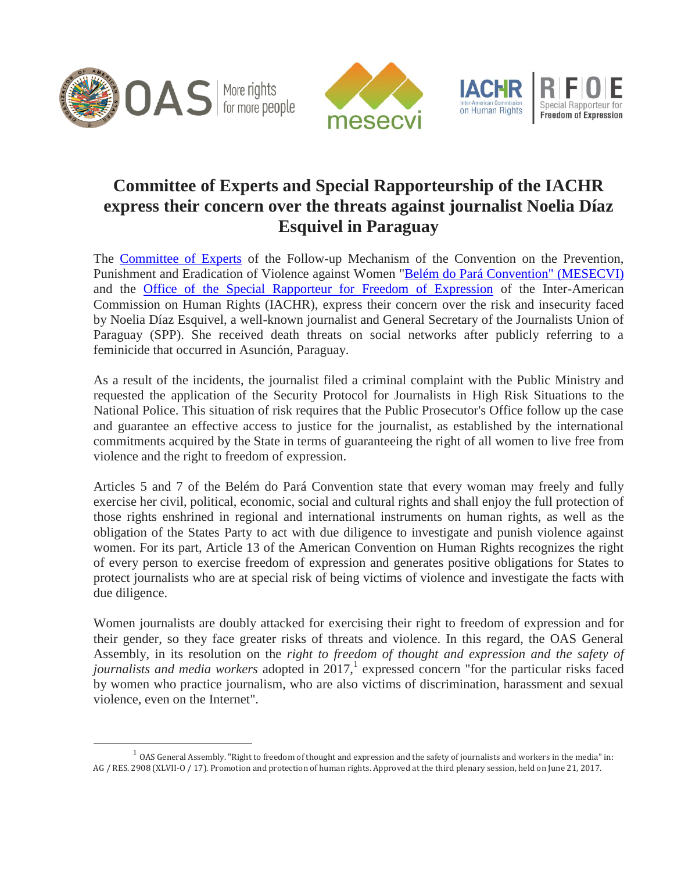

 $\overline{a}$ 





## **Committee of Experts and Special Rapporteurship of the IACHR express their concern over the threats against journalist Noelia Díaz Esquivel in Paraguay**

The [Committee of Experts](http://www.oas.org/en/mesecvi/Experts.asp) of the Follow-up Mechanism of the Convention on the Prevention, Punishment and Eradication of Violence against Women ["Belém do Pará Convention" \(MESECVI\)](http://www.oas.org/en/mesecvi/docs/BelemDoPara-ENGLISH.pdf) and the [Office of the Special Rapporteur for Freedom of Expression](http://www.oas.org/en/iachr/expression/index.asp) of the Inter-American Commission on Human Rights (IACHR), express their concern over the risk and insecurity faced by Noelia Díaz Esquivel, a well-known journalist and General Secretary of the Journalists Union of Paraguay (SPP). She received death threats on social networks after publicly referring to a feminicide that occurred in Asunción, Paraguay.

As a result of the incidents, the journalist filed a criminal complaint with the Public Ministry and requested the application of the Security Protocol for Journalists in High Risk Situations to the National Police. This situation of risk requires that the Public Prosecutor's Office follow up the case and guarantee an effective access to justice for the journalist, as established by the international commitments acquired by the State in terms of guaranteeing the right of all women to live free from violence and the right to freedom of expression.

Articles 5 and 7 of the Belém do Pará Convention state that every woman may freely and fully exercise her civil, political, economic, social and cultural rights and shall enjoy the full protection of those rights enshrined in regional and international instruments on human rights, as well as the obligation of the States Party to act with due diligence to investigate and punish violence against women. For its part, Article 13 of the American Convention on Human Rights recognizes the right of every person to exercise freedom of expression and generates positive obligations for States to protect journalists who are at special risk of being victims of violence and investigate the facts with due diligence.

Women journalists are doubly attacked for exercising their right to freedom of expression and for their gender, so they face greater risks of threats and violence. In this regard, the OAS General Assembly, in its resolution on the *right to freedom of thought and expression and the safety of journalists and media workers* adopted in 2017, 1 expressed concern "for the particular risks faced by women who practice journalism, who are also victims of discrimination, harassment and sexual violence, even on the Internet".

 $1 \text{ OAS}$  General Assembly. "Right to freedom of thought and expression and the safety of journalists and workers in the media" in: AG / RES. 2908 (XLVII-O / 17). Promotion and protection of human rights. Approved at the third plenary session, held on June 21, 2017.